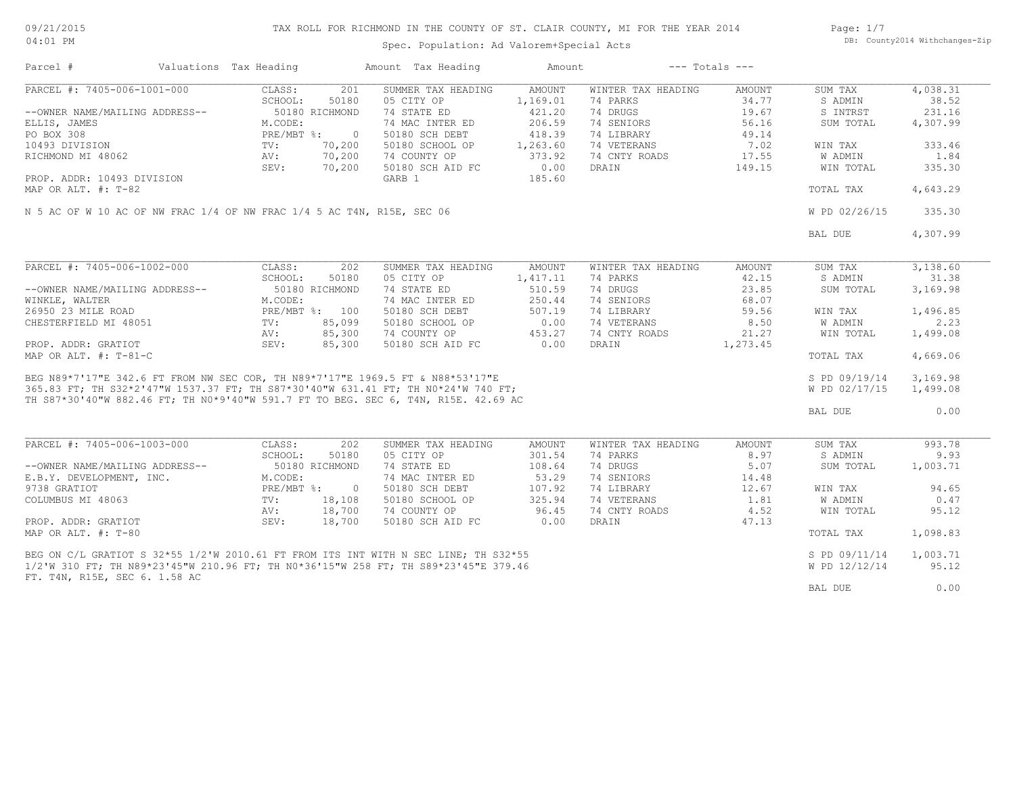09/21/2015 04:01 PM

# TAX ROLL FOR RICHMOND IN THE COUNTY OF ST. CLAIR COUNTY, MI FOR THE YEAR 2014

Page: 1/7 DB: County2014 Withchanges-Zip

Spec. Population: Ad Valorem+Special Acts

| Parcel #                                                                                                                                                                                | Valuations Tax Heading                                                                         |                                                              | Amount Tax Heading                                                                                                                                    | Amount                                                                                          |                                                                                                                 | $---$ Totals $---$                                                           |                                                                                             |                                                                                 |
|-----------------------------------------------------------------------------------------------------------------------------------------------------------------------------------------|------------------------------------------------------------------------------------------------|--------------------------------------------------------------|-------------------------------------------------------------------------------------------------------------------------------------------------------|-------------------------------------------------------------------------------------------------|-----------------------------------------------------------------------------------------------------------------|------------------------------------------------------------------------------|---------------------------------------------------------------------------------------------|---------------------------------------------------------------------------------|
| PARCEL #: 7405-006-1001-000<br>--OWNER NAME/MAILING ADDRESS--<br>ELLIS, JAMES<br>PO BOX 308<br>10493 DIVISION<br>RICHMOND MI 48062<br>PROP. ADDR: 10493 DIVISION<br>MAP OR ALT. #: T-82 | CLASS:<br>SCHOOL:<br>50180 RICHMOND<br>M.CODE:<br>PRE/MBT %:<br>$\texttt{TV}$ :<br>AV:<br>SEV: | 201<br>50180<br>$\overline{0}$<br>70,200<br>70,200<br>70,200 | SUMMER TAX HEADING<br>05 CITY OP<br>74 STATE ED<br>74 MAC INTER ED<br>50180 SCH DEBT<br>50180 SCHOOL OP<br>74 COUNTY OP<br>50180 SCH AID FC<br>GARB 1 | <b>AMOUNT</b><br>1,169.01<br>421.20<br>206.59<br>418.39<br>1,263.60<br>373.92<br>0.00<br>185.60 | WINTER TAX HEADING<br>74 PARKS<br>74 DRUGS<br>74 SENIORS<br>74 LIBRARY<br>74 VETERANS<br>74 CNTY ROADS<br>DRAIN | <b>AMOUNT</b><br>34.77<br>19.67<br>56.16<br>49.14<br>7.02<br>17.55<br>149.15 | SUM TAX<br>S ADMIN<br>S INTRST<br>SUM TOTAL<br>WIN TAX<br>W ADMIN<br>WIN TOTAL<br>TOTAL TAX | 4,038.31<br>38.52<br>231.16<br>4,307.99<br>333.46<br>1.84<br>335.30<br>4,643.29 |
| N 5 AC OF W 10 AC OF NW FRAC 1/4 OF NW FRAC 1/4 5 AC T4N, R15E, SEC 06                                                                                                                  |                                                                                                |                                                              |                                                                                                                                                       |                                                                                                 |                                                                                                                 |                                                                              | W PD 02/26/15                                                                               | 335.30                                                                          |
|                                                                                                                                                                                         |                                                                                                |                                                              |                                                                                                                                                       |                                                                                                 |                                                                                                                 |                                                                              | BAL DUE                                                                                     | 4,307.99                                                                        |
| PARCEL #: 7405-006-1002-000                                                                                                                                                             | CLASS:                                                                                         | 202                                                          | SUMMER TAX HEADING                                                                                                                                    | <b>AMOUNT</b>                                                                                   | WINTER TAX HEADING                                                                                              | <b>AMOUNT</b>                                                                | SUM TAX                                                                                     | 3,138.60                                                                        |
|                                                                                                                                                                                         | SCHOOL:                                                                                        | 50180                                                        | 05 CITY OP                                                                                                                                            | 1,417.11                                                                                        | 74 PARKS                                                                                                        | 42.15                                                                        | S ADMIN                                                                                     | 31.38                                                                           |
| --OWNER NAME/MAILING ADDRESS--                                                                                                                                                          | 50180 RICHMOND                                                                                 |                                                              | 74 STATE ED                                                                                                                                           | 510.59                                                                                          | 74 DRUGS                                                                                                        | 23.85                                                                        | SUM TOTAL                                                                                   | 3,169.98                                                                        |
| WINKLE, WALTER                                                                                                                                                                          | M.CODE:                                                                                        |                                                              | 74 MAC INTER ED                                                                                                                                       | 250.44                                                                                          | 74 SENIORS                                                                                                      | 68.07                                                                        |                                                                                             |                                                                                 |
| 26950 23 MILE ROAD                                                                                                                                                                      | PRE/MBT %: 100                                                                                 |                                                              | 50180 SCH DEBT                                                                                                                                        | 507.19                                                                                          | 74 LIBRARY                                                                                                      | 59.56                                                                        | WIN TAX                                                                                     | 1,496.85                                                                        |
| CHESTERFIELD MI 48051                                                                                                                                                                   | TV:                                                                                            | 85,099                                                       | 50180 SCHOOL OP                                                                                                                                       | 0.00                                                                                            | 74 VETERANS                                                                                                     | 8.50                                                                         | W ADMIN                                                                                     | 2.23                                                                            |
|                                                                                                                                                                                         | AV:                                                                                            | 85,300                                                       | 74 COUNTY OP                                                                                                                                          | 453.27                                                                                          | 74 CNTY ROADS                                                                                                   | 21.27                                                                        | WIN TOTAL                                                                                   | 1,499.08                                                                        |
| PROP. ADDR: GRATIOT                                                                                                                                                                     | SEV:                                                                                           | 85,300                                                       | 50180 SCH AID FC                                                                                                                                      | 0.00                                                                                            | DRAIN                                                                                                           | 1,273.45                                                                     |                                                                                             |                                                                                 |
| MAP OR ALT. #: T-81-C                                                                                                                                                                   |                                                                                                |                                                              |                                                                                                                                                       |                                                                                                 |                                                                                                                 |                                                                              | TOTAL TAX                                                                                   | 4,669.06                                                                        |
|                                                                                                                                                                                         |                                                                                                |                                                              |                                                                                                                                                       |                                                                                                 |                                                                                                                 |                                                                              | S PD 09/19/14                                                                               | 3,169.98                                                                        |
|                                                                                                                                                                                         |                                                                                                |                                                              |                                                                                                                                                       |                                                                                                 |                                                                                                                 |                                                                              | W PD 02/17/15                                                                               | 1,499.08                                                                        |
|                                                                                                                                                                                         |                                                                                                |                                                              |                                                                                                                                                       |                                                                                                 |                                                                                                                 |                                                                              | BAL DUE                                                                                     | 0.00                                                                            |
|                                                                                                                                                                                         |                                                                                                |                                                              |                                                                                                                                                       |                                                                                                 |                                                                                                                 |                                                                              |                                                                                             |                                                                                 |
| PARCEL #: 7405-006-1003-000                                                                                                                                                             | CLASS:                                                                                         | 202                                                          | SUMMER TAX HEADING                                                                                                                                    | AMOUNT                                                                                          | WINTER TAX HEADING                                                                                              | AMOUNT                                                                       | SUM TAX                                                                                     | 993.78                                                                          |
|                                                                                                                                                                                         | SCHOOL:                                                                                        | 50180                                                        | 05 CITY OP                                                                                                                                            | 301.54                                                                                          | 74 PARKS                                                                                                        | 8.97                                                                         | S ADMIN                                                                                     | 9.93                                                                            |
| --OWNER NAME/MAILING ADDRESS--                                                                                                                                                          | 50180 RICHMOND                                                                                 |                                                              | 74 STATE ED                                                                                                                                           | 108.64                                                                                          | 74 DRUGS                                                                                                        | 5.07                                                                         | SUM TOTAL                                                                                   | 1,003.71                                                                        |
| E.B.Y. DEVELOPMENT, INC.                                                                                                                                                                | M.CODE:                                                                                        |                                                              | 74 MAC INTER ED                                                                                                                                       | 53.29                                                                                           | 74 SENIORS                                                                                                      | 14.48                                                                        |                                                                                             |                                                                                 |
| 9738 GRATIOT                                                                                                                                                                            | $PRE/MBT$ %:                                                                                   | $\overline{0}$                                               | 50180 SCH DEBT                                                                                                                                        | 107.92                                                                                          | 74 LIBRARY                                                                                                      | 12.67                                                                        | WIN TAX                                                                                     | 94.65                                                                           |
| COLUMBUS MI 48063                                                                                                                                                                       | TV:                                                                                            | 18,108                                                       | 50180 SCHOOL OP                                                                                                                                       | 325.94                                                                                          | 74 VETERANS                                                                                                     | 1.81                                                                         | W ADMIN                                                                                     | 0.47                                                                            |
|                                                                                                                                                                                         | AV:                                                                                            | 18,700                                                       | 74 COUNTY OP                                                                                                                                          | 96.45                                                                                           | 74 CNTY ROADS                                                                                                   | 4.52                                                                         | WIN TOTAL                                                                                   | 95.12                                                                           |
| PROP. ADDR: GRATIOT<br>MAP OR ALT. #: T-80                                                                                                                                              | SEV:                                                                                           | 18,700                                                       | 50180 SCH AID FC                                                                                                                                      | 0.00                                                                                            | DRAIN                                                                                                           | 47.13                                                                        | TOTAL TAX                                                                                   | 1,098.83                                                                        |
|                                                                                                                                                                                         |                                                                                                |                                                              |                                                                                                                                                       |                                                                                                 |                                                                                                                 |                                                                              |                                                                                             |                                                                                 |
| BEG ON C/L GRATIOT S 32*55 1/2'W 2010.61 FT FROM ITS INT WITH N SEC LINE; TH S32*55                                                                                                     |                                                                                                |                                                              |                                                                                                                                                       |                                                                                                 |                                                                                                                 |                                                                              | S PD 09/11/14                                                                               | 1,003.71                                                                        |
| 1/2'W 310 FT; TH N89*23'45"W 210.96 FT; TH N0*36'15"W 258 FT; TH S89*23'45"E 379.46                                                                                                     |                                                                                                |                                                              |                                                                                                                                                       |                                                                                                 |                                                                                                                 |                                                                              | W PD 12/12/14                                                                               | 95.12                                                                           |
| FT. T4N, R15E, SEC 6. 1.58 AC                                                                                                                                                           |                                                                                                |                                                              |                                                                                                                                                       |                                                                                                 |                                                                                                                 |                                                                              |                                                                                             |                                                                                 |
|                                                                                                                                                                                         |                                                                                                |                                                              |                                                                                                                                                       |                                                                                                 |                                                                                                                 |                                                                              | BAL DUE                                                                                     | 0.00                                                                            |
|                                                                                                                                                                                         |                                                                                                |                                                              |                                                                                                                                                       |                                                                                                 |                                                                                                                 |                                                                              |                                                                                             |                                                                                 |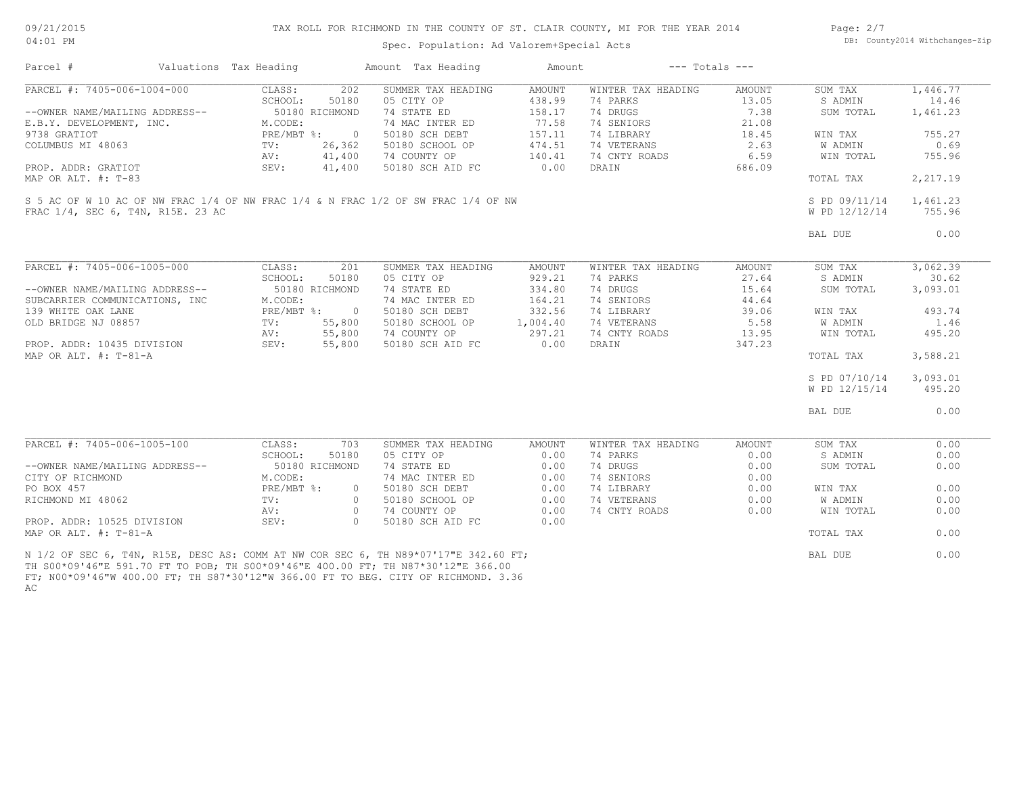09/21/2015 04:01 PM

### TAX ROLL FOR RICHMOND IN THE COUNTY OF ST. CLAIR COUNTY, MI FOR THE YEAR 2014

Spec. Population: Ad Valorem+Special Acts

Page: 2/7 DB: County2014 Withchanges-Zip

| Parcel #                          | Valuations Tax Heading |                | Amount Tax Heading                                                                                                                                                      | Amount   |                    | $---$ Totals $---$ |               |          |
|-----------------------------------|------------------------|----------------|-------------------------------------------------------------------------------------------------------------------------------------------------------------------------|----------|--------------------|--------------------|---------------|----------|
| PARCEL #: 7405-006-1004-000       | CLASS:                 | 202            | SUMMER TAX HEADING                                                                                                                                                      | AMOUNT   | WINTER TAX HEADING | AMOUNT             | SUM TAX       | 1,446.77 |
|                                   | SCHOOL:                | 50180          | 05 CITY OP                                                                                                                                                              | 438.99   | 74 PARKS           | 13.05              | S ADMIN       | 14.46    |
| --OWNER NAME/MAILING ADDRESS--    | 50180 RICHMOND         |                | 74 STATE ED                                                                                                                                                             | 158.17   | 74 DRUGS           | 7.38               | SUM TOTAL     | 1,461.23 |
| E.B.Y. DEVELOPMENT, INC.          | M.CODE:                |                | 74 MAC INTER ED                                                                                                                                                         | 77.58    | 74 SENIORS         | 21.08              |               |          |
| 9738 GRATIOT                      | PRE/MBT %:             | $\overline{0}$ | 50180 SCH DEBT                                                                                                                                                          | 157.11   | 74 LIBRARY         | 18.45              | WIN TAX       | 755.27   |
| COLUMBUS MI 48063                 | $\text{TV}$ :          | 26,362         | 50180 SCHOOL OP                                                                                                                                                         | 474.51   | 74 VETERANS        | 2.63               | W ADMIN       | 0.69     |
|                                   | AV:                    | 41,400         | 74 COUNTY OP                                                                                                                                                            | 140.41   | 74 CNTY ROADS      | 6.59               | WIN TOTAL     | 755.96   |
| PROP. ADDR: GRATIOT               | SEV:                   | 41,400         | 50180 SCH AID FC                                                                                                                                                        | 0.00     | DRAIN              | 686.09             |               |          |
| MAP OR ALT. #: T-83               |                        |                |                                                                                                                                                                         |          |                    |                    | TOTAL TAX     | 2,217.19 |
|                                   |                        |                | S 5 AC OF W 10 AC OF NW FRAC 1/4 OF NW FRAC 1/4 & N FRAC 1/2 OF SW FRAC 1/4 OF NW                                                                                       |          |                    |                    | S PD 09/11/14 | 1,461.23 |
| FRAC 1/4, SEC 6, T4N, R15E, 23 AC |                        |                |                                                                                                                                                                         |          |                    |                    | W PD 12/12/14 | 755.96   |
|                                   |                        |                |                                                                                                                                                                         |          |                    |                    | BAL DUE       | 0.00     |
|                                   |                        |                |                                                                                                                                                                         |          |                    |                    |               |          |
| PARCEL #: 7405-006-1005-000       | CLASS:                 | 201            | SUMMER TAX HEADING                                                                                                                                                      | AMOUNT   | WINTER TAX HEADING | AMOUNT             | SUM TAX       | 3,062.39 |
|                                   | SCHOOL:                | 50180          | 05 CITY OP                                                                                                                                                              | 929.21   | 74 PARKS           | 27.64              | S ADMIN       | 30.62    |
| --OWNER NAME/MAILING ADDRESS--    | 50180 RICHMOND         |                | 74 STATE ED                                                                                                                                                             | 334.80   | 74 DRUGS           | 15.64              | SUM TOTAL     | 3,093.01 |
| SUBCARRIER COMMUNICATIONS, INC    | M.CODE:                |                | 74 MAC INTER ED                                                                                                                                                         | 164.21   | 74 SENIORS         | 44.64              |               |          |
| 139 WHITE OAK LANE                | PRE/MBT %: 0           |                | 50180 SCH DEBT                                                                                                                                                          | 332.56   | 74 LIBRARY         | 39.06              | WIN TAX       | 493.74   |
| OLD BRIDGE NJ 08857               | TV:                    | 55,800         | 50180 SCHOOL OP                                                                                                                                                         | 1,004.40 | 74 VETERANS        | 5.58               | W ADMIN       | 1.46     |
|                                   | AV:                    | 55,800         | 74 COUNTY OP                                                                                                                                                            | 297.21   | 74 CNTY ROADS      | 13.95              | WIN TOTAL     | 495.20   |
| PROP. ADDR: 10435 DIVISION        | SEV:                   | 55,800         | 50180 SCH AID FC                                                                                                                                                        | 0.00     | DRAIN              | 347.23             |               |          |
| MAP OR ALT. $\#$ : T-81-A         |                        |                |                                                                                                                                                                         |          |                    |                    | TOTAL TAX     | 3,588.21 |
|                                   |                        |                |                                                                                                                                                                         |          |                    |                    | S PD 07/10/14 | 3,093.01 |
|                                   |                        |                |                                                                                                                                                                         |          |                    |                    |               |          |
|                                   |                        |                |                                                                                                                                                                         |          |                    |                    | W PD 12/15/14 | 495.20   |
|                                   |                        |                |                                                                                                                                                                         |          |                    |                    | BAL DUE       | 0.00     |
| PARCEL #: 7405-006-1005-100       | CLASS:                 | 703            | SUMMER TAX HEADING                                                                                                                                                      | AMOUNT   | WINTER TAX HEADING | <b>AMOUNT</b>      | SUM TAX       | 0.00     |
|                                   | SCHOOL:                | 50180          | 05 CITY OP                                                                                                                                                              | 0.00     | 74 PARKS           | 0.00               | S ADMIN       | 0.00     |
| --OWNER NAME/MAILING ADDRESS--    |                        | 50180 RICHMOND | 74 STATE ED                                                                                                                                                             | 0.00     | 74 DRUGS           | 0.00               | SUM TOTAL     | 0.00     |
|                                   |                        |                |                                                                                                                                                                         |          |                    |                    |               |          |
| CITY OF RICHMOND                  | M.CODE:                |                | 74 MAC INTER ED                                                                                                                                                         | 0.00     | 74 SENIORS         | 0.00               |               |          |
| PO BOX 457                        | PRE/MBT %:             | $\circ$        | 50180 SCH DEBT                                                                                                                                                          | 0.00     | 74 LIBRARY         | 0.00               | WIN TAX       | 0.00     |
| RICHMOND MI 48062                 | TV:                    | $\circ$        | 50180 SCHOOL OP                                                                                                                                                         | 0.00     | 74 VETERANS        | 0.00               | W ADMIN       | 0.00     |
|                                   | AV:                    | $\circ$        | 74 COUNTY OP                                                                                                                                                            | 0.00     | 74 CNTY ROADS      | 0.00               | WIN TOTAL     | 0.00     |
| PROP. ADDR: 10525 DIVISION        | SEV:                   | $\bigcirc$     | 50180 SCH AID FC                                                                                                                                                        | 0.00     |                    |                    |               |          |
| MAP OR ALT. #: T-81-A             |                        |                |                                                                                                                                                                         |          |                    |                    | TOTAL TAX     | 0.00     |
|                                   |                        |                | N 1/2 OF SEC 6, T4N, R15E, DESC AS: COMM AT NW COR SEC 6, TH N89*07'17"E 342.60 FT;<br>TH S00*09'46"E 591.70 FT TO POB: TH S00*09'46"E 400.00 FT; TH N87*30'12"E 366.00 |          |                    |                    | BAL DUE       | 0.00     |

AC FT; N00\*09'46"W 400.00 FT; TH S87\*30'12"W 366.00 FT TO BEG. CITY OF RICHMOND. 3.36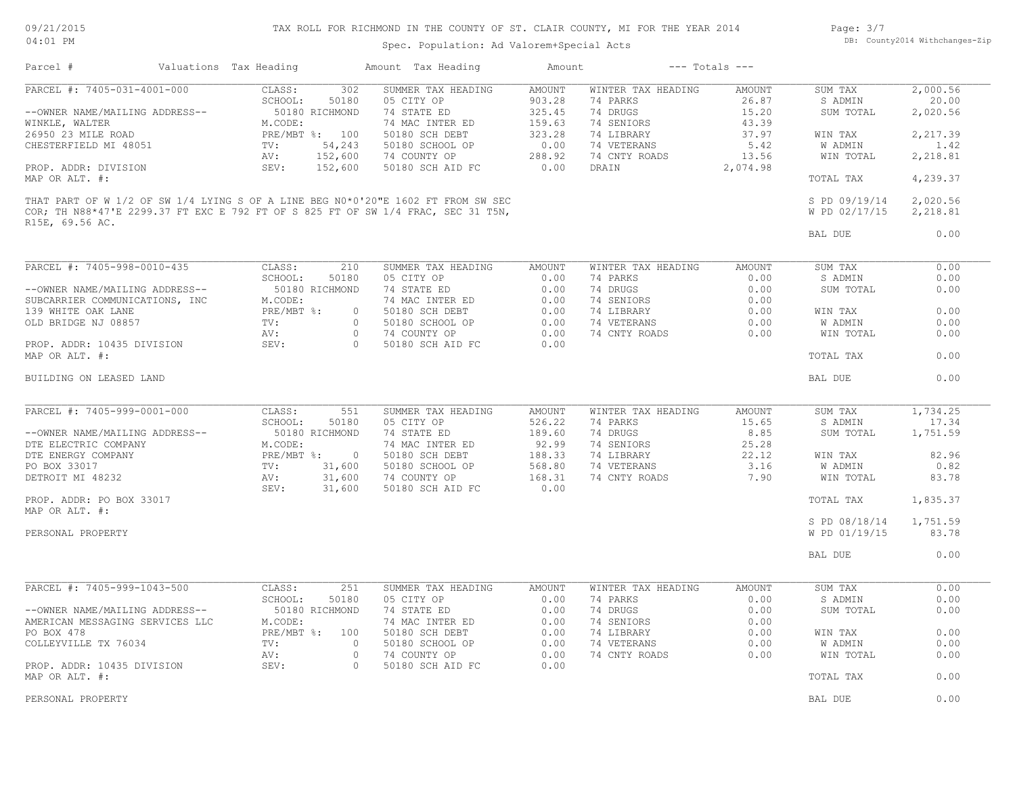09/21/2015 04:01 PM

# TAX ROLL FOR RICHMOND IN THE COUNTY OF ST. CLAIR COUNTY, MI FOR THE YEAR 2014

Page: 3/7 DB: County2014 Withchanges-Zip

Spec. Population: Ad Valorem+Special Acts

| PARCEL #: 7405-031-4001-000<br>CLASS:<br>302<br>SUMMER TAX HEADING<br>AMOUNT<br>2,000.56<br>WINTER TAX HEADING<br>AMOUNT<br>SUM TAX<br>903.28<br>20.00<br>SCHOOL:<br>50180<br>05 CITY OP<br>74 PARKS<br>26.87<br>S ADMIN<br>50180 RICHMOND<br>325.45<br>74 DRUGS<br>15.20<br>--OWNER NAME/MAILING ADDRESS--<br>74 STATE ED<br>SUM TOTAL<br>2,020.56<br>159.63<br>74 SENIORS<br>43.39<br>WINKLE, WALTER<br>M.CODE:<br>74 MAC INTER ED<br>26950 23 MILE ROAD<br>PRE/MBT %: 100<br>323.28<br>74 LIBRARY<br>37.97<br>2,217.39<br>50180 SCH DEBT<br>WIN TAX<br>CHESTERFIELD MI 48051<br>54,243<br>50180 SCHOOL OP<br>0.00<br>74 VETERANS<br>5.42<br>W ADMIN<br>1.42<br>TV:<br>152,600<br>74 COUNTY OP<br>288.92<br>74 CNTY ROADS<br>13.56<br>WIN TOTAL<br>2,218.81<br>AV:<br>152,600<br>0.00<br>PROP. ADDR: DIVISION<br>SEV:<br>50180 SCH AID FC<br>DRAIN<br>2,074.98<br>MAP OR ALT. #:<br>4,239.37<br>TOTAL TAX<br>THAT PART OF W 1/2 OF SW 1/4 LYING S OF A LINE BEG N0*0'20"E 1602 FT FROM SW SEC<br>S PD 09/19/14<br>2,020.56<br>COR; TH N88*47'E 2299.37 FT EXC E 792 FT OF S 825 FT OF SW 1/4 FRAC, SEC 31 T5N,<br>2,218.81<br>W PD 02/17/15<br>R15E, 69.56 AC.<br>0.00<br>BAL DUE<br>PARCEL #: 7405-998-0010-435<br>CLASS:<br>210<br>SUMMER TAX HEADING<br><b>AMOUNT</b><br>WINTER TAX HEADING<br>AMOUNT<br>SUM TAX<br>0.00<br>SCHOOL:<br>05 CITY OP<br>50180<br>0.00<br>74 PARKS<br>0.00<br>S ADMIN<br>0.00<br>74 DRUGS<br>74 STATE ED<br>0.00<br>0.00<br>0.00<br>--OWNER NAME/MAILING ADDRESS--<br>50180 RICHMOND<br>SUM TOTAL<br>0.00<br>74 SENIORS<br>SUBCARRIER COMMUNICATIONS, INC<br>M.CODE:<br>74 MAC INTER ED<br>0.00<br>PRE/MBT %:<br>50180 SCH DEBT<br>0.00<br>74 LIBRARY<br>0.00<br>0.00<br>139 WHITE OAK LANE<br>$\circ$<br>WIN TAX<br>$\Omega$<br>0.00<br>74 VETERANS<br>0.00<br><b>W ADMIN</b><br>0.00<br>OLD BRIDGE NJ 08857<br>TV:<br>50180 SCHOOL OP<br>$\circ$<br>74 COUNTY OP<br>0.00<br>74 CNTY ROADS<br>0.00<br>WIN TOTAL<br>0.00<br>AV:<br>PROP. ADDR: 10435 DIVISION<br>SEV:<br>$\bigcap$<br>50180 SCH AID FC<br>0.00<br>0.00<br>MAP OR ALT. #:<br>TOTAL TAX<br>0.00<br>BUILDING ON LEASED LAND<br>BAL DUE<br>PARCEL #: 7405-999-0001-000<br>CLASS:<br>551<br>SUMMER TAX HEADING<br>WINTER TAX HEADING<br>1,734.25<br>AMOUNT<br>AMOUNT<br>SUM TAX<br>05 CITY OP<br>526.22<br>15.65<br>17.34<br>SCHOOL:<br>50180<br>74 PARKS<br>S ADMIN<br>189.60<br>74 DRUGS<br>8.85<br>--OWNER NAME/MAILING ADDRESS--<br>50180 RICHMOND<br>74 STATE ED<br>SUM TOTAL<br>1,751.59<br>92.99<br>M.CODE:<br>74 MAC INTER ED<br>74 SENIORS<br>25.28<br>DTE ELECTRIC COMPANY<br>DTE ENERGY COMPANY<br>$PRE/MBT$ %:<br>$\overline{0}$<br>188.33<br>74 LIBRARY<br>22.12<br>82.96<br>50180 SCH DEBT<br>WIN TAX<br>568.80<br>74 VETERANS<br>3.16<br>0.82<br>PO BOX 33017<br>TV:<br>31,600<br>50180 SCHOOL OP<br>W ADMIN<br>168.31<br>DETROIT MI 48232<br>31,600<br>74 COUNTY OP<br>74 CNTY ROADS<br>7.90<br>WIN TOTAL<br>83.78<br>AV:<br>SEV:<br>31,600<br>50180 SCH AID FC<br>0.00<br>1,835.37<br>PROP. ADDR: PO BOX 33017<br>TOTAL TAX<br>MAP OR ALT. #:<br>S PD 08/18/14<br>1,751.59<br>83.78<br>W PD 01/19/15<br>PERSONAL PROPERTY<br>0.00<br>BAL DUE<br>PARCEL #: 7405-999-1043-500<br>CLASS:<br>WINTER TAX HEADING<br>0.00<br>251<br>SUMMER TAX HEADING<br>AMOUNT<br>AMOUNT<br>SUM TAX<br>SCHOOL:<br>50180<br>05 CITY OP<br>0.00<br>74 PARKS<br>0.00<br>0.00<br>S ADMIN<br>74 DRUGS<br>0.00<br>--OWNER NAME/MAILING ADDRESS--<br>50180 RICHMOND<br>74 STATE ED<br>0.00<br>0.00<br>SUM TOTAL<br>74 SENIORS<br>AMERICAN MESSAGING SERVICES LLC<br>M.CODE:<br>74 MAC INTER ED<br>0.00<br>0.00<br>PRE/MBT %: 100<br>0.00<br>74 LIBRARY<br>0.00<br>0.00<br>PO BOX 478<br>50180 SCH DEBT<br>WIN TAX<br>COLLEYVILLE TX 76034<br>50180 SCHOOL OP<br>0.00<br>74 VETERANS<br>0.00<br>TV:<br>$\Omega$<br>0.00<br>W ADMIN<br>0.00<br>$\circ$<br>74 COUNTY OP<br>74 CNTY ROADS<br>0.00<br>0.00<br>AV:<br>WIN TOTAL<br>SEV:<br>50180 SCH AID FC<br>0.00<br>PROP. ADDR: 10435 DIVISION<br>$\circ$<br>MAP OR ALT. #:<br>TOTAL TAX<br>0.00 | BAL DUE<br>0.00 | Parcel # | Valuations Tax Heading | Amount Tax Heading | Amount | $---$ Totals $---$ |  |
|---------------------------------------------------------------------------------------------------------------------------------------------------------------------------------------------------------------------------------------------------------------------------------------------------------------------------------------------------------------------------------------------------------------------------------------------------------------------------------------------------------------------------------------------------------------------------------------------------------------------------------------------------------------------------------------------------------------------------------------------------------------------------------------------------------------------------------------------------------------------------------------------------------------------------------------------------------------------------------------------------------------------------------------------------------------------------------------------------------------------------------------------------------------------------------------------------------------------------------------------------------------------------------------------------------------------------------------------------------------------------------------------------------------------------------------------------------------------------------------------------------------------------------------------------------------------------------------------------------------------------------------------------------------------------------------------------------------------------------------------------------------------------------------------------------------------------------------------------------------------------------------------------------------------------------------------------------------------------------------------------------------------------------------------------------------------------------------------------------------------------------------------------------------------------------------------------------------------------------------------------------------------------------------------------------------------------------------------------------------------------------------------------------------------------------------------------------------------------------------------------------------------------------------------------------------------------------------------------------------------------------------------------------------------------------------------------------------------------------------------------------------------------------------------------------------------------------------------------------------------------------------------------------------------------------------------------------------------------------------------------------------------------------------------------------------------------------------------------------------------------------------------------------------------------------------------------------------------------------------------------------------------------------------------------------------------------------------------------------------------------------------------------------------------------------------------------------------------------------------------------------------------------------------------------------------------------------------------------------------------------------------------------------------------------------------------------------------------------------------------------------------------------------------------------------------------------------------------------------------------------------------------------------------------------------------------------------------------------------------------------------------------------------|-----------------|----------|------------------------|--------------------|--------|--------------------|--|
|                                                                                                                                                                                                                                                                                                                                                                                                                                                                                                                                                                                                                                                                                                                                                                                                                                                                                                                                                                                                                                                                                                                                                                                                                                                                                                                                                                                                                                                                                                                                                                                                                                                                                                                                                                                                                                                                                                                                                                                                                                                                                                                                                                                                                                                                                                                                                                                                                                                                                                                                                                                                                                                                                                                                                                                                                                                                                                                                                                                                                                                                                                                                                                                                                                                                                                                                                                                                                                                                                                                                                                                                                                                                                                                                                                                                                                                                                                                                                                                                                                 |                 |          |                        |                    |        |                    |  |
|                                                                                                                                                                                                                                                                                                                                                                                                                                                                                                                                                                                                                                                                                                                                                                                                                                                                                                                                                                                                                                                                                                                                                                                                                                                                                                                                                                                                                                                                                                                                                                                                                                                                                                                                                                                                                                                                                                                                                                                                                                                                                                                                                                                                                                                                                                                                                                                                                                                                                                                                                                                                                                                                                                                                                                                                                                                                                                                                                                                                                                                                                                                                                                                                                                                                                                                                                                                                                                                                                                                                                                                                                                                                                                                                                                                                                                                                                                                                                                                                                                 |                 |          |                        |                    |        |                    |  |
|                                                                                                                                                                                                                                                                                                                                                                                                                                                                                                                                                                                                                                                                                                                                                                                                                                                                                                                                                                                                                                                                                                                                                                                                                                                                                                                                                                                                                                                                                                                                                                                                                                                                                                                                                                                                                                                                                                                                                                                                                                                                                                                                                                                                                                                                                                                                                                                                                                                                                                                                                                                                                                                                                                                                                                                                                                                                                                                                                                                                                                                                                                                                                                                                                                                                                                                                                                                                                                                                                                                                                                                                                                                                                                                                                                                                                                                                                                                                                                                                                                 |                 |          |                        |                    |        |                    |  |
|                                                                                                                                                                                                                                                                                                                                                                                                                                                                                                                                                                                                                                                                                                                                                                                                                                                                                                                                                                                                                                                                                                                                                                                                                                                                                                                                                                                                                                                                                                                                                                                                                                                                                                                                                                                                                                                                                                                                                                                                                                                                                                                                                                                                                                                                                                                                                                                                                                                                                                                                                                                                                                                                                                                                                                                                                                                                                                                                                                                                                                                                                                                                                                                                                                                                                                                                                                                                                                                                                                                                                                                                                                                                                                                                                                                                                                                                                                                                                                                                                                 |                 |          |                        |                    |        |                    |  |
|                                                                                                                                                                                                                                                                                                                                                                                                                                                                                                                                                                                                                                                                                                                                                                                                                                                                                                                                                                                                                                                                                                                                                                                                                                                                                                                                                                                                                                                                                                                                                                                                                                                                                                                                                                                                                                                                                                                                                                                                                                                                                                                                                                                                                                                                                                                                                                                                                                                                                                                                                                                                                                                                                                                                                                                                                                                                                                                                                                                                                                                                                                                                                                                                                                                                                                                                                                                                                                                                                                                                                                                                                                                                                                                                                                                                                                                                                                                                                                                                                                 |                 |          |                        |                    |        |                    |  |
|                                                                                                                                                                                                                                                                                                                                                                                                                                                                                                                                                                                                                                                                                                                                                                                                                                                                                                                                                                                                                                                                                                                                                                                                                                                                                                                                                                                                                                                                                                                                                                                                                                                                                                                                                                                                                                                                                                                                                                                                                                                                                                                                                                                                                                                                                                                                                                                                                                                                                                                                                                                                                                                                                                                                                                                                                                                                                                                                                                                                                                                                                                                                                                                                                                                                                                                                                                                                                                                                                                                                                                                                                                                                                                                                                                                                                                                                                                                                                                                                                                 |                 |          |                        |                    |        |                    |  |
|                                                                                                                                                                                                                                                                                                                                                                                                                                                                                                                                                                                                                                                                                                                                                                                                                                                                                                                                                                                                                                                                                                                                                                                                                                                                                                                                                                                                                                                                                                                                                                                                                                                                                                                                                                                                                                                                                                                                                                                                                                                                                                                                                                                                                                                                                                                                                                                                                                                                                                                                                                                                                                                                                                                                                                                                                                                                                                                                                                                                                                                                                                                                                                                                                                                                                                                                                                                                                                                                                                                                                                                                                                                                                                                                                                                                                                                                                                                                                                                                                                 |                 |          |                        |                    |        |                    |  |
|                                                                                                                                                                                                                                                                                                                                                                                                                                                                                                                                                                                                                                                                                                                                                                                                                                                                                                                                                                                                                                                                                                                                                                                                                                                                                                                                                                                                                                                                                                                                                                                                                                                                                                                                                                                                                                                                                                                                                                                                                                                                                                                                                                                                                                                                                                                                                                                                                                                                                                                                                                                                                                                                                                                                                                                                                                                                                                                                                                                                                                                                                                                                                                                                                                                                                                                                                                                                                                                                                                                                                                                                                                                                                                                                                                                                                                                                                                                                                                                                                                 |                 |          |                        |                    |        |                    |  |
|                                                                                                                                                                                                                                                                                                                                                                                                                                                                                                                                                                                                                                                                                                                                                                                                                                                                                                                                                                                                                                                                                                                                                                                                                                                                                                                                                                                                                                                                                                                                                                                                                                                                                                                                                                                                                                                                                                                                                                                                                                                                                                                                                                                                                                                                                                                                                                                                                                                                                                                                                                                                                                                                                                                                                                                                                                                                                                                                                                                                                                                                                                                                                                                                                                                                                                                                                                                                                                                                                                                                                                                                                                                                                                                                                                                                                                                                                                                                                                                                                                 |                 |          |                        |                    |        |                    |  |
|                                                                                                                                                                                                                                                                                                                                                                                                                                                                                                                                                                                                                                                                                                                                                                                                                                                                                                                                                                                                                                                                                                                                                                                                                                                                                                                                                                                                                                                                                                                                                                                                                                                                                                                                                                                                                                                                                                                                                                                                                                                                                                                                                                                                                                                                                                                                                                                                                                                                                                                                                                                                                                                                                                                                                                                                                                                                                                                                                                                                                                                                                                                                                                                                                                                                                                                                                                                                                                                                                                                                                                                                                                                                                                                                                                                                                                                                                                                                                                                                                                 |                 |          |                        |                    |        |                    |  |
|                                                                                                                                                                                                                                                                                                                                                                                                                                                                                                                                                                                                                                                                                                                                                                                                                                                                                                                                                                                                                                                                                                                                                                                                                                                                                                                                                                                                                                                                                                                                                                                                                                                                                                                                                                                                                                                                                                                                                                                                                                                                                                                                                                                                                                                                                                                                                                                                                                                                                                                                                                                                                                                                                                                                                                                                                                                                                                                                                                                                                                                                                                                                                                                                                                                                                                                                                                                                                                                                                                                                                                                                                                                                                                                                                                                                                                                                                                                                                                                                                                 |                 |          |                        |                    |        |                    |  |
|                                                                                                                                                                                                                                                                                                                                                                                                                                                                                                                                                                                                                                                                                                                                                                                                                                                                                                                                                                                                                                                                                                                                                                                                                                                                                                                                                                                                                                                                                                                                                                                                                                                                                                                                                                                                                                                                                                                                                                                                                                                                                                                                                                                                                                                                                                                                                                                                                                                                                                                                                                                                                                                                                                                                                                                                                                                                                                                                                                                                                                                                                                                                                                                                                                                                                                                                                                                                                                                                                                                                                                                                                                                                                                                                                                                                                                                                                                                                                                                                                                 |                 |          |                        |                    |        |                    |  |
|                                                                                                                                                                                                                                                                                                                                                                                                                                                                                                                                                                                                                                                                                                                                                                                                                                                                                                                                                                                                                                                                                                                                                                                                                                                                                                                                                                                                                                                                                                                                                                                                                                                                                                                                                                                                                                                                                                                                                                                                                                                                                                                                                                                                                                                                                                                                                                                                                                                                                                                                                                                                                                                                                                                                                                                                                                                                                                                                                                                                                                                                                                                                                                                                                                                                                                                                                                                                                                                                                                                                                                                                                                                                                                                                                                                                                                                                                                                                                                                                                                 |                 |          |                        |                    |        |                    |  |
|                                                                                                                                                                                                                                                                                                                                                                                                                                                                                                                                                                                                                                                                                                                                                                                                                                                                                                                                                                                                                                                                                                                                                                                                                                                                                                                                                                                                                                                                                                                                                                                                                                                                                                                                                                                                                                                                                                                                                                                                                                                                                                                                                                                                                                                                                                                                                                                                                                                                                                                                                                                                                                                                                                                                                                                                                                                                                                                                                                                                                                                                                                                                                                                                                                                                                                                                                                                                                                                                                                                                                                                                                                                                                                                                                                                                                                                                                                                                                                                                                                 |                 |          |                        |                    |        |                    |  |
|                                                                                                                                                                                                                                                                                                                                                                                                                                                                                                                                                                                                                                                                                                                                                                                                                                                                                                                                                                                                                                                                                                                                                                                                                                                                                                                                                                                                                                                                                                                                                                                                                                                                                                                                                                                                                                                                                                                                                                                                                                                                                                                                                                                                                                                                                                                                                                                                                                                                                                                                                                                                                                                                                                                                                                                                                                                                                                                                                                                                                                                                                                                                                                                                                                                                                                                                                                                                                                                                                                                                                                                                                                                                                                                                                                                                                                                                                                                                                                                                                                 |                 |          |                        |                    |        |                    |  |
|                                                                                                                                                                                                                                                                                                                                                                                                                                                                                                                                                                                                                                                                                                                                                                                                                                                                                                                                                                                                                                                                                                                                                                                                                                                                                                                                                                                                                                                                                                                                                                                                                                                                                                                                                                                                                                                                                                                                                                                                                                                                                                                                                                                                                                                                                                                                                                                                                                                                                                                                                                                                                                                                                                                                                                                                                                                                                                                                                                                                                                                                                                                                                                                                                                                                                                                                                                                                                                                                                                                                                                                                                                                                                                                                                                                                                                                                                                                                                                                                                                 |                 |          |                        |                    |        |                    |  |
|                                                                                                                                                                                                                                                                                                                                                                                                                                                                                                                                                                                                                                                                                                                                                                                                                                                                                                                                                                                                                                                                                                                                                                                                                                                                                                                                                                                                                                                                                                                                                                                                                                                                                                                                                                                                                                                                                                                                                                                                                                                                                                                                                                                                                                                                                                                                                                                                                                                                                                                                                                                                                                                                                                                                                                                                                                                                                                                                                                                                                                                                                                                                                                                                                                                                                                                                                                                                                                                                                                                                                                                                                                                                                                                                                                                                                                                                                                                                                                                                                                 |                 |          |                        |                    |        |                    |  |
|                                                                                                                                                                                                                                                                                                                                                                                                                                                                                                                                                                                                                                                                                                                                                                                                                                                                                                                                                                                                                                                                                                                                                                                                                                                                                                                                                                                                                                                                                                                                                                                                                                                                                                                                                                                                                                                                                                                                                                                                                                                                                                                                                                                                                                                                                                                                                                                                                                                                                                                                                                                                                                                                                                                                                                                                                                                                                                                                                                                                                                                                                                                                                                                                                                                                                                                                                                                                                                                                                                                                                                                                                                                                                                                                                                                                                                                                                                                                                                                                                                 |                 |          |                        |                    |        |                    |  |
|                                                                                                                                                                                                                                                                                                                                                                                                                                                                                                                                                                                                                                                                                                                                                                                                                                                                                                                                                                                                                                                                                                                                                                                                                                                                                                                                                                                                                                                                                                                                                                                                                                                                                                                                                                                                                                                                                                                                                                                                                                                                                                                                                                                                                                                                                                                                                                                                                                                                                                                                                                                                                                                                                                                                                                                                                                                                                                                                                                                                                                                                                                                                                                                                                                                                                                                                                                                                                                                                                                                                                                                                                                                                                                                                                                                                                                                                                                                                                                                                                                 |                 |          |                        |                    |        |                    |  |
|                                                                                                                                                                                                                                                                                                                                                                                                                                                                                                                                                                                                                                                                                                                                                                                                                                                                                                                                                                                                                                                                                                                                                                                                                                                                                                                                                                                                                                                                                                                                                                                                                                                                                                                                                                                                                                                                                                                                                                                                                                                                                                                                                                                                                                                                                                                                                                                                                                                                                                                                                                                                                                                                                                                                                                                                                                                                                                                                                                                                                                                                                                                                                                                                                                                                                                                                                                                                                                                                                                                                                                                                                                                                                                                                                                                                                                                                                                                                                                                                                                 |                 |          |                        |                    |        |                    |  |
|                                                                                                                                                                                                                                                                                                                                                                                                                                                                                                                                                                                                                                                                                                                                                                                                                                                                                                                                                                                                                                                                                                                                                                                                                                                                                                                                                                                                                                                                                                                                                                                                                                                                                                                                                                                                                                                                                                                                                                                                                                                                                                                                                                                                                                                                                                                                                                                                                                                                                                                                                                                                                                                                                                                                                                                                                                                                                                                                                                                                                                                                                                                                                                                                                                                                                                                                                                                                                                                                                                                                                                                                                                                                                                                                                                                                                                                                                                                                                                                                                                 |                 |          |                        |                    |        |                    |  |
|                                                                                                                                                                                                                                                                                                                                                                                                                                                                                                                                                                                                                                                                                                                                                                                                                                                                                                                                                                                                                                                                                                                                                                                                                                                                                                                                                                                                                                                                                                                                                                                                                                                                                                                                                                                                                                                                                                                                                                                                                                                                                                                                                                                                                                                                                                                                                                                                                                                                                                                                                                                                                                                                                                                                                                                                                                                                                                                                                                                                                                                                                                                                                                                                                                                                                                                                                                                                                                                                                                                                                                                                                                                                                                                                                                                                                                                                                                                                                                                                                                 |                 |          |                        |                    |        |                    |  |
|                                                                                                                                                                                                                                                                                                                                                                                                                                                                                                                                                                                                                                                                                                                                                                                                                                                                                                                                                                                                                                                                                                                                                                                                                                                                                                                                                                                                                                                                                                                                                                                                                                                                                                                                                                                                                                                                                                                                                                                                                                                                                                                                                                                                                                                                                                                                                                                                                                                                                                                                                                                                                                                                                                                                                                                                                                                                                                                                                                                                                                                                                                                                                                                                                                                                                                                                                                                                                                                                                                                                                                                                                                                                                                                                                                                                                                                                                                                                                                                                                                 |                 |          |                        |                    |        |                    |  |
|                                                                                                                                                                                                                                                                                                                                                                                                                                                                                                                                                                                                                                                                                                                                                                                                                                                                                                                                                                                                                                                                                                                                                                                                                                                                                                                                                                                                                                                                                                                                                                                                                                                                                                                                                                                                                                                                                                                                                                                                                                                                                                                                                                                                                                                                                                                                                                                                                                                                                                                                                                                                                                                                                                                                                                                                                                                                                                                                                                                                                                                                                                                                                                                                                                                                                                                                                                                                                                                                                                                                                                                                                                                                                                                                                                                                                                                                                                                                                                                                                                 |                 |          |                        |                    |        |                    |  |
|                                                                                                                                                                                                                                                                                                                                                                                                                                                                                                                                                                                                                                                                                                                                                                                                                                                                                                                                                                                                                                                                                                                                                                                                                                                                                                                                                                                                                                                                                                                                                                                                                                                                                                                                                                                                                                                                                                                                                                                                                                                                                                                                                                                                                                                                                                                                                                                                                                                                                                                                                                                                                                                                                                                                                                                                                                                                                                                                                                                                                                                                                                                                                                                                                                                                                                                                                                                                                                                                                                                                                                                                                                                                                                                                                                                                                                                                                                                                                                                                                                 |                 |          |                        |                    |        |                    |  |
|                                                                                                                                                                                                                                                                                                                                                                                                                                                                                                                                                                                                                                                                                                                                                                                                                                                                                                                                                                                                                                                                                                                                                                                                                                                                                                                                                                                                                                                                                                                                                                                                                                                                                                                                                                                                                                                                                                                                                                                                                                                                                                                                                                                                                                                                                                                                                                                                                                                                                                                                                                                                                                                                                                                                                                                                                                                                                                                                                                                                                                                                                                                                                                                                                                                                                                                                                                                                                                                                                                                                                                                                                                                                                                                                                                                                                                                                                                                                                                                                                                 |                 |          |                        |                    |        |                    |  |
|                                                                                                                                                                                                                                                                                                                                                                                                                                                                                                                                                                                                                                                                                                                                                                                                                                                                                                                                                                                                                                                                                                                                                                                                                                                                                                                                                                                                                                                                                                                                                                                                                                                                                                                                                                                                                                                                                                                                                                                                                                                                                                                                                                                                                                                                                                                                                                                                                                                                                                                                                                                                                                                                                                                                                                                                                                                                                                                                                                                                                                                                                                                                                                                                                                                                                                                                                                                                                                                                                                                                                                                                                                                                                                                                                                                                                                                                                                                                                                                                                                 |                 |          |                        |                    |        |                    |  |
|                                                                                                                                                                                                                                                                                                                                                                                                                                                                                                                                                                                                                                                                                                                                                                                                                                                                                                                                                                                                                                                                                                                                                                                                                                                                                                                                                                                                                                                                                                                                                                                                                                                                                                                                                                                                                                                                                                                                                                                                                                                                                                                                                                                                                                                                                                                                                                                                                                                                                                                                                                                                                                                                                                                                                                                                                                                                                                                                                                                                                                                                                                                                                                                                                                                                                                                                                                                                                                                                                                                                                                                                                                                                                                                                                                                                                                                                                                                                                                                                                                 |                 |          |                        |                    |        |                    |  |
|                                                                                                                                                                                                                                                                                                                                                                                                                                                                                                                                                                                                                                                                                                                                                                                                                                                                                                                                                                                                                                                                                                                                                                                                                                                                                                                                                                                                                                                                                                                                                                                                                                                                                                                                                                                                                                                                                                                                                                                                                                                                                                                                                                                                                                                                                                                                                                                                                                                                                                                                                                                                                                                                                                                                                                                                                                                                                                                                                                                                                                                                                                                                                                                                                                                                                                                                                                                                                                                                                                                                                                                                                                                                                                                                                                                                                                                                                                                                                                                                                                 |                 |          |                        |                    |        |                    |  |
|                                                                                                                                                                                                                                                                                                                                                                                                                                                                                                                                                                                                                                                                                                                                                                                                                                                                                                                                                                                                                                                                                                                                                                                                                                                                                                                                                                                                                                                                                                                                                                                                                                                                                                                                                                                                                                                                                                                                                                                                                                                                                                                                                                                                                                                                                                                                                                                                                                                                                                                                                                                                                                                                                                                                                                                                                                                                                                                                                                                                                                                                                                                                                                                                                                                                                                                                                                                                                                                                                                                                                                                                                                                                                                                                                                                                                                                                                                                                                                                                                                 |                 |          |                        |                    |        |                    |  |
|                                                                                                                                                                                                                                                                                                                                                                                                                                                                                                                                                                                                                                                                                                                                                                                                                                                                                                                                                                                                                                                                                                                                                                                                                                                                                                                                                                                                                                                                                                                                                                                                                                                                                                                                                                                                                                                                                                                                                                                                                                                                                                                                                                                                                                                                                                                                                                                                                                                                                                                                                                                                                                                                                                                                                                                                                                                                                                                                                                                                                                                                                                                                                                                                                                                                                                                                                                                                                                                                                                                                                                                                                                                                                                                                                                                                                                                                                                                                                                                                                                 |                 |          |                        |                    |        |                    |  |
|                                                                                                                                                                                                                                                                                                                                                                                                                                                                                                                                                                                                                                                                                                                                                                                                                                                                                                                                                                                                                                                                                                                                                                                                                                                                                                                                                                                                                                                                                                                                                                                                                                                                                                                                                                                                                                                                                                                                                                                                                                                                                                                                                                                                                                                                                                                                                                                                                                                                                                                                                                                                                                                                                                                                                                                                                                                                                                                                                                                                                                                                                                                                                                                                                                                                                                                                                                                                                                                                                                                                                                                                                                                                                                                                                                                                                                                                                                                                                                                                                                 |                 |          |                        |                    |        |                    |  |
|                                                                                                                                                                                                                                                                                                                                                                                                                                                                                                                                                                                                                                                                                                                                                                                                                                                                                                                                                                                                                                                                                                                                                                                                                                                                                                                                                                                                                                                                                                                                                                                                                                                                                                                                                                                                                                                                                                                                                                                                                                                                                                                                                                                                                                                                                                                                                                                                                                                                                                                                                                                                                                                                                                                                                                                                                                                                                                                                                                                                                                                                                                                                                                                                                                                                                                                                                                                                                                                                                                                                                                                                                                                                                                                                                                                                                                                                                                                                                                                                                                 |                 |          |                        |                    |        |                    |  |
|                                                                                                                                                                                                                                                                                                                                                                                                                                                                                                                                                                                                                                                                                                                                                                                                                                                                                                                                                                                                                                                                                                                                                                                                                                                                                                                                                                                                                                                                                                                                                                                                                                                                                                                                                                                                                                                                                                                                                                                                                                                                                                                                                                                                                                                                                                                                                                                                                                                                                                                                                                                                                                                                                                                                                                                                                                                                                                                                                                                                                                                                                                                                                                                                                                                                                                                                                                                                                                                                                                                                                                                                                                                                                                                                                                                                                                                                                                                                                                                                                                 |                 |          |                        |                    |        |                    |  |
|                                                                                                                                                                                                                                                                                                                                                                                                                                                                                                                                                                                                                                                                                                                                                                                                                                                                                                                                                                                                                                                                                                                                                                                                                                                                                                                                                                                                                                                                                                                                                                                                                                                                                                                                                                                                                                                                                                                                                                                                                                                                                                                                                                                                                                                                                                                                                                                                                                                                                                                                                                                                                                                                                                                                                                                                                                                                                                                                                                                                                                                                                                                                                                                                                                                                                                                                                                                                                                                                                                                                                                                                                                                                                                                                                                                                                                                                                                                                                                                                                                 |                 |          |                        |                    |        |                    |  |
| PERSONAL PROPERTY                                                                                                                                                                                                                                                                                                                                                                                                                                                                                                                                                                                                                                                                                                                                                                                                                                                                                                                                                                                                                                                                                                                                                                                                                                                                                                                                                                                                                                                                                                                                                                                                                                                                                                                                                                                                                                                                                                                                                                                                                                                                                                                                                                                                                                                                                                                                                                                                                                                                                                                                                                                                                                                                                                                                                                                                                                                                                                                                                                                                                                                                                                                                                                                                                                                                                                                                                                                                                                                                                                                                                                                                                                                                                                                                                                                                                                                                                                                                                                                                               |                 |          |                        |                    |        |                    |  |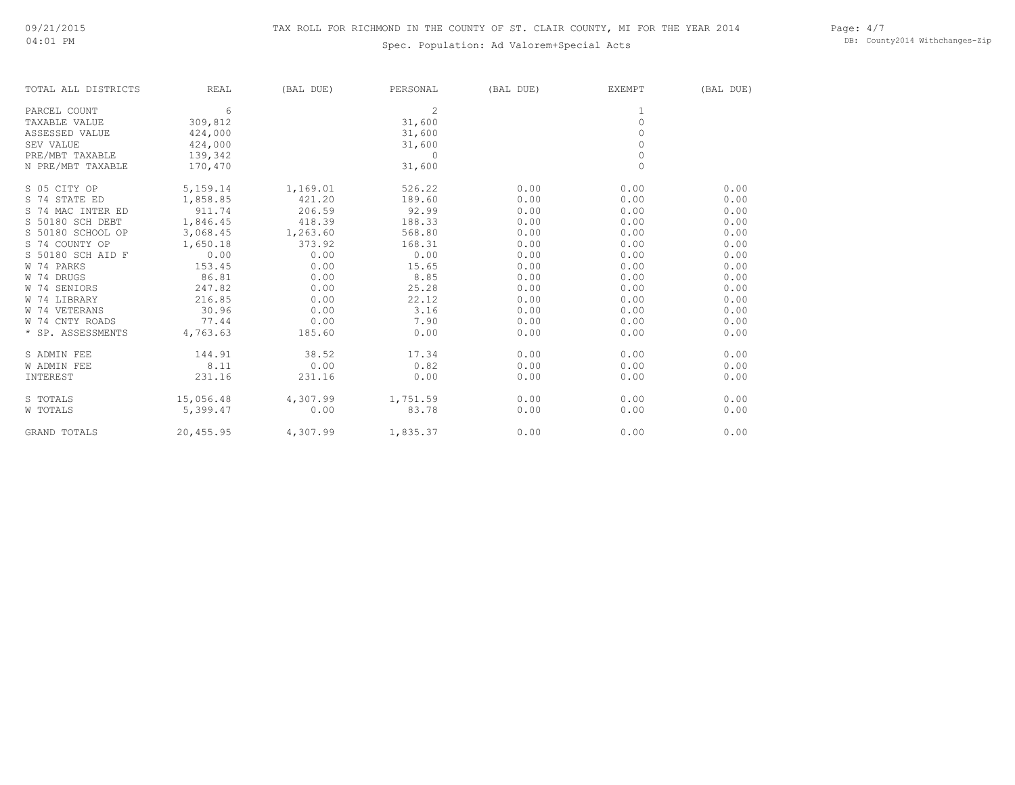# TAX ROLL FOR RICHMOND IN THE COUNTY OF ST. CLAIR COUNTY, MI FOR THE YEAR 2014

# Spec. Population: Ad Valorem+Special Acts

Page: 4/7 DB: County2014 Withchanges-Zip

| TOTAL ALL DISTRICTS | REAL      | (BAL DUE) | PERSONAL | (BAL DUE) | <b>EXEMPT</b> | (BAL DUE) |
|---------------------|-----------|-----------|----------|-----------|---------------|-----------|
| PARCEL COUNT        | 6         |           | 2        |           |               |           |
| TAXABLE VALUE       | 309,812   |           | 31,600   |           | $\circ$       |           |
| ASSESSED VALUE      | 424,000   |           | 31,600   |           | $\Omega$      |           |
| SEV VALUE           | 424,000   |           | 31,600   |           | $\Omega$      |           |
| PRE/MBT TAXABLE     | 139,342   |           | 0        |           | $\circ$       |           |
| N PRE/MBT TAXABLE   | 170,470   |           | 31,600   |           | $\Omega$      |           |
| S 05 CITY OP        | 5,159.14  | 1,169.01  | 526.22   | 0.00      | 0.00          | 0.00      |
| S 74 STATE ED       | 1,858.85  | 421.20    | 189.60   | 0.00      | 0.00          | 0.00      |
| S 74 MAC INTER ED   | 911.74    | 206.59    | 92.99    | 0.00      | 0.00          | 0.00      |
| S 50180 SCH DEBT    | 1,846.45  | 418.39    | 188.33   | 0.00      | 0.00          | 0.00      |
| S 50180 SCHOOL OP   | 3,068.45  | 1,263.60  | 568.80   | 0.00      | 0.00          | 0.00      |
| S 74 COUNTY OP      | 1,650.18  | 373.92    | 168.31   | 0.00      | 0.00          | 0.00      |
| S 50180 SCH AID F   | 0.00      | 0.00      | 0.00     | 0.00      | 0.00          | 0.00      |
| W 74 PARKS          | 153.45    | 0.00      | 15.65    | 0.00      | 0.00          | 0.00      |
| W 74 DRUGS          | 86.81     | 0.00      | 8.85     | 0.00      | 0.00          | 0.00      |
| W 74 SENIORS        | 247.82    | 0.00      | 25.28    | 0.00      | 0.00          | 0.00      |
| W 74 LIBRARY        | 216.85    | 0.00      | 22.12    | 0.00      | 0.00          | 0.00      |
| W 74 VETERANS       | 30.96     | 0.00      | 3.16     | 0.00      | 0.00          | 0.00      |
| W 74 CNTY ROADS     | 77.44     | 0.00      | 7.90     | 0.00      | 0.00          | 0.00      |
| * SP. ASSESSMENTS   | 4,763.63  | 185.60    | 0.00     | 0.00      | 0.00          | 0.00      |
| S ADMIN FEE         | 144.91    | 38.52     | 17.34    | 0.00      | 0.00          | 0.00      |
| <b>W ADMIN FEE</b>  | 8.11      | 0.00      | 0.82     | 0.00      | 0.00          | 0.00      |
| INTEREST            | 231.16    | 231.16    | 0.00     | 0.00      | 0.00          | 0.00      |
| S TOTALS            | 15,056.48 | 4,307.99  | 1,751.59 | 0.00      | 0.00          | 0.00      |
| W TOTALS            | 5,399.47  | 0.00      | 83.78    | 0.00      | 0.00          | 0.00      |
| <b>GRAND TOTALS</b> | 20,455.95 | 4,307.99  | 1,835.37 | 0.00      | 0.00          | 0.00      |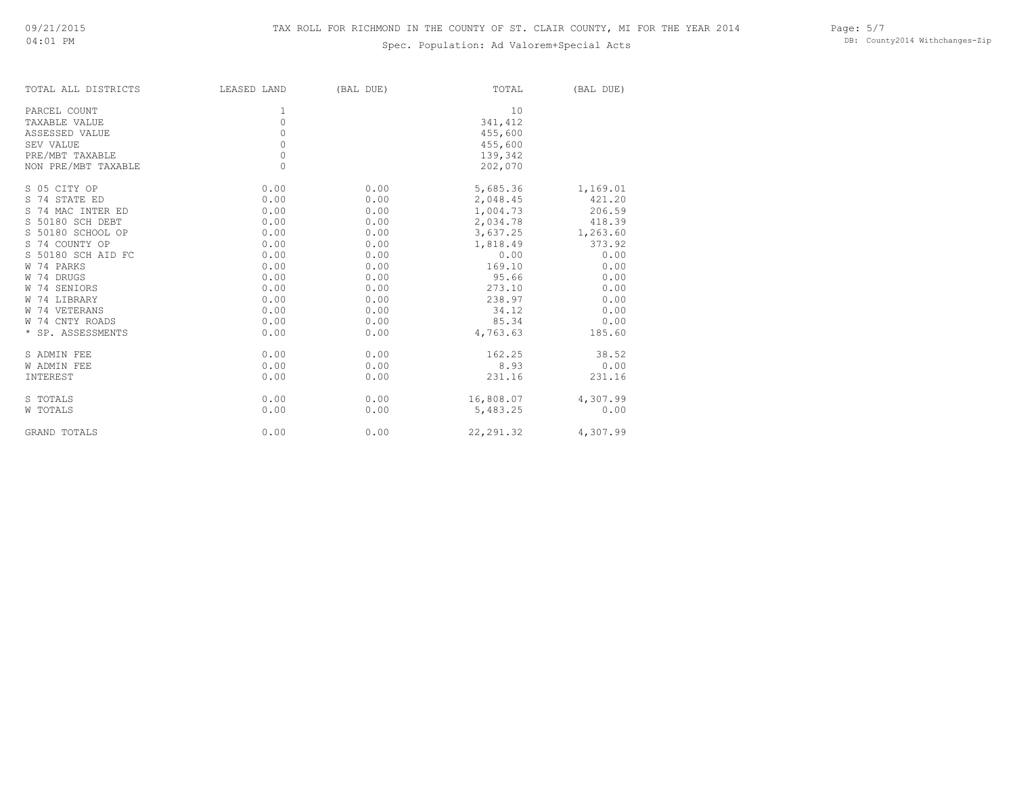# Spec. Population: Ad Valorem+Special Acts

Page: 5/7 DB: County2014 Withchanges-Zip

| TOTAL ALL DISTRICTS | LEASED LAND | (BAL DUE) | TOTAL      | (BAL DUE) |
|---------------------|-------------|-----------|------------|-----------|
| PARCEL COUNT        | 1           |           | 10         |           |
| TAXABLE VALUE       | $\circ$     |           | 341,412    |           |
| ASSESSED VALUE      | $\circ$     |           | 455,600    |           |
| SEV VALUE           | $\circ$     |           | 455,600    |           |
| PRE/MBT TAXABLE     | $\circ$     |           | 139,342    |           |
| NON PRE/MBT TAXABLE | $\Omega$    |           | 202,070    |           |
| S 05 CITY OP        | 0.00        | 0.00      | 5,685.36   | 1,169.01  |
| S 74 STATE ED       | 0.00        | 0.00      | 2,048.45   | 421.20    |
| S 74 MAC INTER ED   | 0.00        | 0.00      | 1,004.73   | 206.59    |
| S 50180 SCH DEBT    | 0.00        | 0.00      | 2,034.78   | 418.39    |
| S 50180 SCHOOL OP   | 0.00        | 0.00      | 3,637.25   | 1,263.60  |
| S 74 COUNTY OP      | 0.00        | 0.00      | 1,818.49   | 373.92    |
| S 50180 SCH AID FC  | 0.00        | 0.00      | 0.00       | 0.00      |
| W 74 PARKS          | 0.00        | 0.00      | 169.10     | 0.00      |
| W 74 DRUGS          | 0.00        | 0.00      | 95.66      | 0.00      |
| W 74 SENIORS        | 0.00        | 0.00      | 273.10     | 0.00      |
| W 74 LIBRARY        | 0.00        | 0.00      | 238.97     | 0.00      |
| W 74 VETERANS       | 0.00        | 0.00      | 34.12      | 0.00      |
| W 74 CNTY ROADS     | 0.00        | 0.00      | 85.34      | 0.00      |
| * SP. ASSESSMENTS   | 0.00        | 0.00      | 4,763.63   | 185.60    |
| S ADMIN FEE         | 0.00        | 0.00      | 162.25     | 38.52     |
| <b>W ADMIN FEE</b>  | 0.00        | 0.00      | 8.93       | 0.00      |
| INTEREST            | 0.00        | 0.00      | 231.16     | 231.16    |
| S TOTALS            | 0.00        | 0.00      | 16,808.07  | 4,307.99  |
| W TOTALS            | 0.00        | 0.00      | 5,483.25   | 0.00      |
| <b>GRAND TOTALS</b> | 0.00        | 0.00      | 22, 291.32 | 4,307.99  |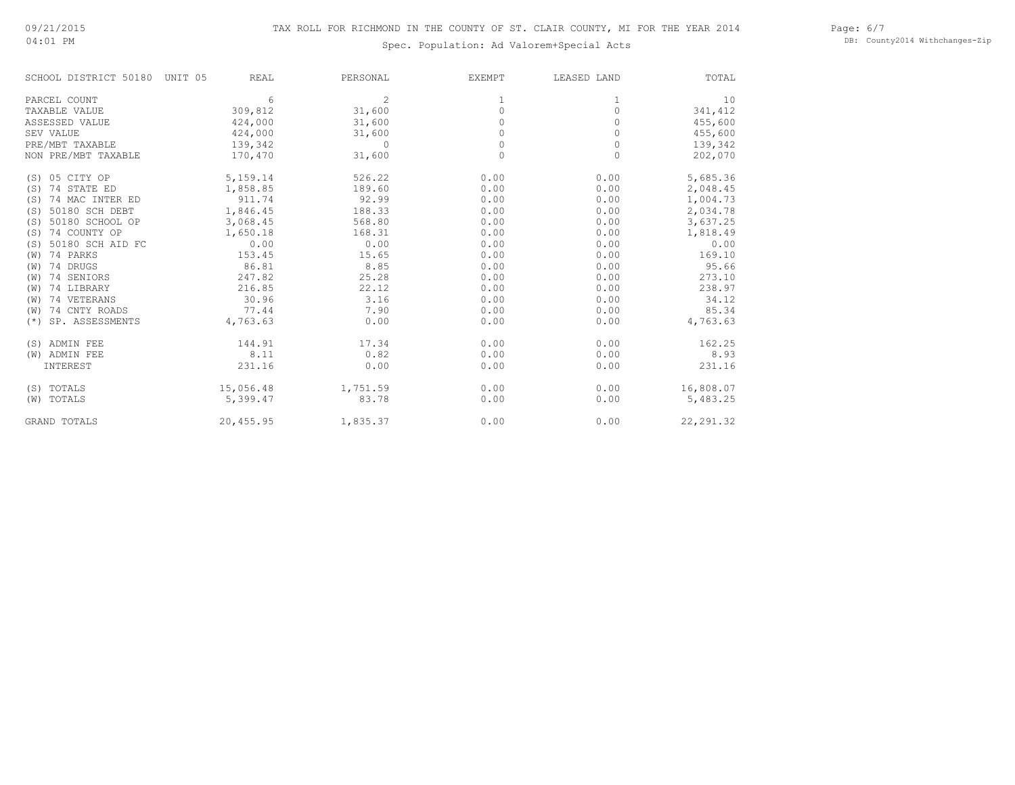04:01 PM

# Spec. Population: Ad Valorem+Special Acts

Page: 6/7 DB: County2014 Withchanges-Zip

| SCHOOL DISTRICT 50180    | UNIT 05<br>REAL | PERSONAL       | <b>EXEMPT</b> | LEASED LAND | TOTAL      |
|--------------------------|-----------------|----------------|---------------|-------------|------------|
| PARCEL COUNT             | 6               | $\overline{2}$ |               |             | 10         |
| TAXABLE VALUE            | 309,812         | 31,600         | $\Omega$      | $\Omega$    | 341,412    |
| ASSESSED VALUE           | 424,000         | 31,600         |               |             | 455,600    |
| SEV VALUE                | 424,000         | 31,600         | 0             | $\Omega$    | 455,600    |
| PRE/MBT TAXABLE          | 139,342         | $\Omega$       | $\Omega$      | $\Omega$    | 139,342    |
| NON PRE/MBT TAXABLE      | 170,470         | 31,600         | $\Omega$      | $\Omega$    | 202,070    |
| 05 CITY OP<br>(S)        | 5,159.14        | 526.22         | 0.00          | 0.00        | 5,685.36   |
| 74 STATE ED<br>(S)       | 1,858.85        | 189.60         | 0.00          | 0.00        | 2,048.45   |
| 74 MAC INTER ED<br>(S)   | 911.74          | 92.99          | 0.00          | 0.00        | 1,004.73   |
| 50180 SCH DEBT<br>(S)    | 1,846.45        | 188.33         | 0.00          | 0.00        | 2,034.78   |
| 50180 SCHOOL OP<br>(S)   | 3,068.45        | 568.80         | 0.00          | 0.00        | 3,637.25   |
| 74 COUNTY OP<br>(S)      | 1,650.18        | 168.31         | 0.00          | 0.00        | 1,818.49   |
| 50180 SCH AID FC<br>(S)  | 0.00            | 0.00           | 0.00          | 0.00        | 0.00       |
| 74 PARKS<br>(W)          | 153.45          | 15.65          | 0.00          | 0.00        | 169.10     |
| 74 DRUGS<br>(W)          | 86.81           | 8.85           | 0.00          | 0.00        | 95.66      |
| 74 SENIORS<br>(W)        | 247.82          | 25.28          | 0.00          | 0.00        | 273.10     |
| 74 LIBRARY<br>(W)        | 216.85          | 22.12          | 0.00          | 0.00        | 238.97     |
| 74 VETERANS<br>(W)       | 30.96           | 3.16           | 0.00          | 0.00        | 34.12      |
| 74 CNTY ROADS<br>(W)     | 77.44           | 7.90           | 0.00          | 0.00        | 85.34      |
| SP. ASSESSMENTS<br>$(*)$ | 4,763.63        | 0.00           | 0.00          | 0.00        | 4,763.63   |
| (S) ADMIN FEE            | 144.91          | 17.34          | 0.00          | 0.00        | 162.25     |
| (W) ADMIN FEE            | 8.11            | 0.82           | 0.00          | 0.00        | 8.93       |
| INTEREST                 | 231.16          | 0.00           | 0.00          | 0.00        | 231.16     |
| (S) TOTALS               | 15,056.48       | 1,751.59       | 0.00          | 0.00        | 16,808.07  |
| (W) TOTALS               | 5,399.47        | 83.78          | 0.00          | 0.00        | 5,483.25   |
| <b>GRAND TOTALS</b>      | 20,455.95       | 1,835.37       | 0.00          | 0.00        | 22, 291.32 |